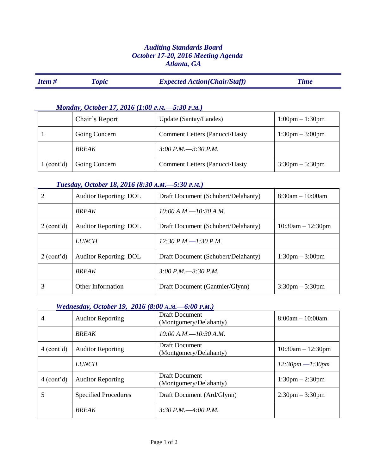# *Auditing Standards Board October 17-20, 2016 Meeting Agenda Atlanta, GA*

| <b>Item#</b> | <i><b>l'opic</b></i> | <b>Expected Action (Chair/Staff)</b> | Time |
|--------------|----------------------|--------------------------------------|------|
|              |                      |                                      |      |

#### *Monday, October 17, 2016 (1:00 P.M.—5:30 P.M.)*

|                         | Chair's Report | Update (Santay/Landes)                 | $1:00 \text{pm} - 1:30 \text{pm}$ |
|-------------------------|----------------|----------------------------------------|-----------------------------------|
|                         | Going Concern  | <b>Comment Letters (Panucci/Hasty)</b> | $1:30 \text{pm} - 3:00 \text{pm}$ |
|                         | <b>BREAK</b>   | $3:00$ P.M. $-3:30$ P.M.               |                                   |
| 1 (cont <sup>2</sup> d) | Going Concern  | <b>Comment Letters (Panucci/Hasty)</b> | $3:30 \text{pm} - 5:30 \text{pm}$ |

# *Tuesday, October 18, 2016 (8:30 A.M.—5:30 P.M.)*

| 2          | <b>Auditor Reporting: DOL</b> | Draft Document (Schubert/Delahanty) | $8:30am - 10:00am$                |
|------------|-------------------------------|-------------------------------------|-----------------------------------|
|            | <b>BREAK</b>                  | $10:00$ A.M. $-10:30$ A.M.          |                                   |
| 2 (cont'd) | <b>Auditor Reporting: DOL</b> | Draft Document (Schubert/Delahanty) | $10:30am - 12:30pm$               |
|            | <b>LUNCH</b>                  | $12:30$ P.M.—1:30 P.M.              |                                   |
| 2 (cont'd) | <b>Auditor Reporting: DOL</b> | Draft Document (Schubert/Delahanty) | $1:30 \text{pm} - 3:00 \text{pm}$ |
|            | <b>BREAK</b>                  | 3:00 P.M. $-3:30$ P.M.              |                                   |
| 3          | Other Information             | Draft Document (Gantnier/Glynn)     | $3:30 \text{pm} - 5:30 \text{pm}$ |

## *Wednesday, October 19, 2016 (8:00 A.M.—6:00 P.M.)*

| 4          | <b>Auditor Reporting</b>    | Draft Document<br>(Montgomery/Delahanty)        | $8:00am - 10:00am$                |
|------------|-----------------------------|-------------------------------------------------|-----------------------------------|
|            | <b>BREAK</b>                | $10:00$ A.M. $-10:30$ A.M.                      |                                   |
| 4 (cont'd) | <b>Auditor Reporting</b>    | <b>Draft Document</b><br>(Montgomery/Delahanty) | $10:30am - 12:30pm$               |
|            | <b>LUNCH</b>                |                                                 | $12:30pm-1:30pm$                  |
| 4 (cont'd) | <b>Auditor Reporting</b>    | <b>Draft Document</b><br>(Montgomery/Delahanty) | $1:30 \text{pm} - 2:30 \text{pm}$ |
|            | <b>Specified Procedures</b> | Draft Document (Ard/Glynn)                      | $2:30 \text{pm} - 3:30 \text{pm}$ |
|            | <b>BREAK</b>                | 3:30 P.M. $-4:00$ P.M.                          |                                   |